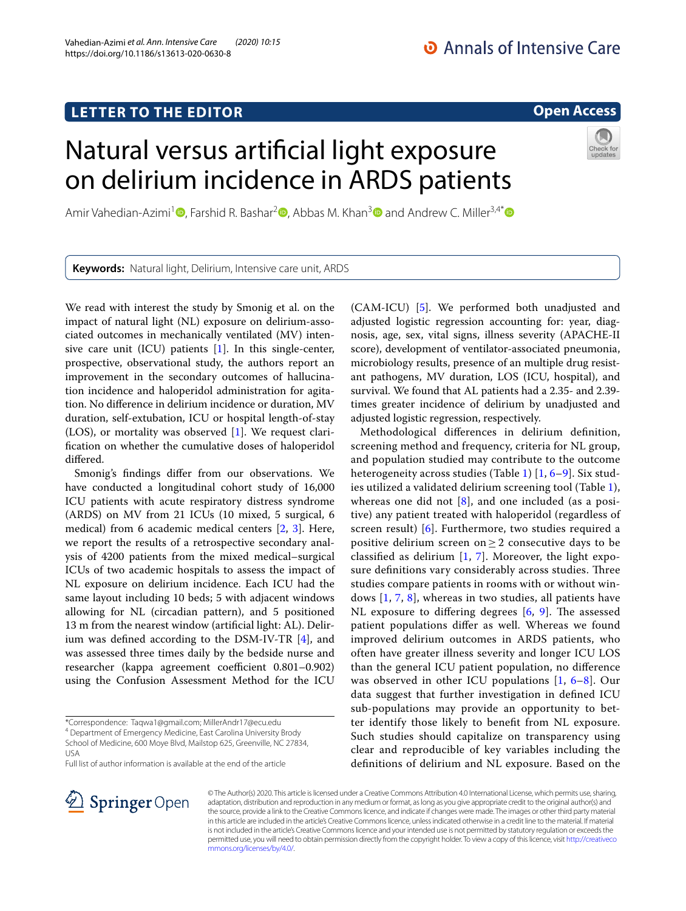https://doi.org/10.1186/s13613-020-0630-8

Vahedian‑Azimi *et al. Ann. Intensive Care (2020) 10:15* 

## **Open Access**

# Natural versus artifcial light exposure on delirium incidence in ARDS patients



Amir Vahedian-Azimi<sup>1</sup> **.** Farshid R. Bashar<sup>2</sup> . Abbas M. Khan<sup>3</sup> and Andrew C. Miller<sup>3,4[\\*](https://orcid.org/0000-0001-8474-5090)</sup> <sup>a</sup>

**Keywords:** Natural light, Delirium, Intensive care unit, ARDS

We read with interest the study by Smonig et al. on the impact of natural light (NL) exposure on delirium-associated outcomes in mechanically ventilated (MV) intensive care unit (ICU) patients [\[1](#page-1-0)]. In this single-center, prospective, observational study, the authors report an improvement in the secondary outcomes of hallucination incidence and haloperidol administration for agitation. No diference in delirium incidence or duration, MV duration, self-extubation, ICU or hospital length-of-stay (LOS), or mortality was observed [[1\]](#page-1-0). We request clarifcation on whether the cumulative doses of haloperidol difered.

Smonig's fndings difer from our observations. We have conducted a longitudinal cohort study of 16,000 ICU patients with acute respiratory distress syndrome (ARDS) on MV from 21 ICUs (10 mixed, 5 surgical, 6 medical) from 6 academic medical centers [\[2](#page-1-1), [3](#page-2-0)]. Here, we report the results of a retrospective secondary analysis of 4200 patients from the mixed medical–surgical ICUs of two academic hospitals to assess the impact of NL exposure on delirium incidence. Each ICU had the same layout including 10 beds; 5 with adjacent windows allowing for NL (circadian pattern), and 5 positioned 13 m from the nearest window (artifcial light: AL). Delirium was defned according to the DSM-IV-TR [\[4](#page-2-1)], and was assessed three times daily by the bedside nurse and researcher (kappa agreement coefficient 0.801–0.902) using the Confusion Assessment Method for the ICU

\*Correspondence: Taqwa1@gmail.com; MillerAndr17@ecu.edu

4 Department of Emergency Medicine, East Carolina University Brody School of Medicine, 600 Moye Blvd, Mailstop 625, Greenville, NC 27834, USA

Full list of author information is available at the end of the article

(CAM-ICU) [\[5](#page-2-2)]. We performed both unadjusted and adjusted logistic regression accounting for: year, diagnosis, age, sex, vital signs, illness severity (APACHE-II score), development of ventilator-associated pneumonia, microbiology results, presence of an multiple drug resistant pathogens, MV duration, LOS (ICU, hospital), and survival. We found that AL patients had a 2.35- and 2.39 times greater incidence of delirium by unadjusted and adjusted logistic regression, respectively.

Methodological diferences in delirium defnition, screening method and frequency, criteria for NL group, and population studied may contribute to the outcome heterogeneity across studies (Table [1\)](#page-1-2) [[1,](#page-1-0) [6](#page-2-3)–[9\]](#page-2-4). Six studies utilized a validated delirium screening tool (Table [1](#page-1-2)), whereas one did not  $[8]$  $[8]$ , and one included (as a positive) any patient treated with haloperidol (regardless of screen result) [\[6](#page-2-3)]. Furthermore, two studies required a positive delirium screen on  $>$  2 consecutive days to be classifed as delirium [\[1](#page-1-0), [7](#page-2-6)]. Moreover, the light exposure definitions vary considerably across studies. Three studies compare patients in rooms with or without windows [[1,](#page-1-0) [7](#page-2-6), [8\]](#page-2-5), whereas in two studies, all patients have NL exposure to differing degrees  $[6, 9]$  $[6, 9]$  $[6, 9]$  $[6, 9]$ . The assessed patient populations difer as well. Whereas we found improved delirium outcomes in ARDS patients, who often have greater illness severity and longer ICU LOS than the general ICU patient population, no diference was observed in other ICU populations [\[1](#page-1-0), [6–](#page-2-3)[8\]](#page-2-5). Our data suggest that further investigation in defned ICU sub-populations may provide an opportunity to better identify those likely to beneft from NL exposure. Such studies should capitalize on transparency using clear and reproducible of key variables including the defnitions of delirium and NL exposure. Based on the



© The Author(s) 2020. This article is licensed under a Creative Commons Attribution 4.0 International License, which permits use, sharing, adaptation, distribution and reproduction in any medium or format, as long as you give appropriate credit to the original author(s) and the source, provide a link to the Creative Commons licence, and indicate if changes were made. The images or other third party material in this article are included in the article's Creative Commons licence, unless indicated otherwise in a credit line to the material. If material is not included in the article's Creative Commons licence and your intended use is not permitted by statutory regulation or exceeds the permitted use, you will need to obtain permission directly from the copyright holder. To view a copy of this licence, visit [http://creativeco](http://creativecommons.org/licenses/by/4.0/) [mmons.org/licenses/by/4.0/.](http://creativecommons.org/licenses/by/4.0/)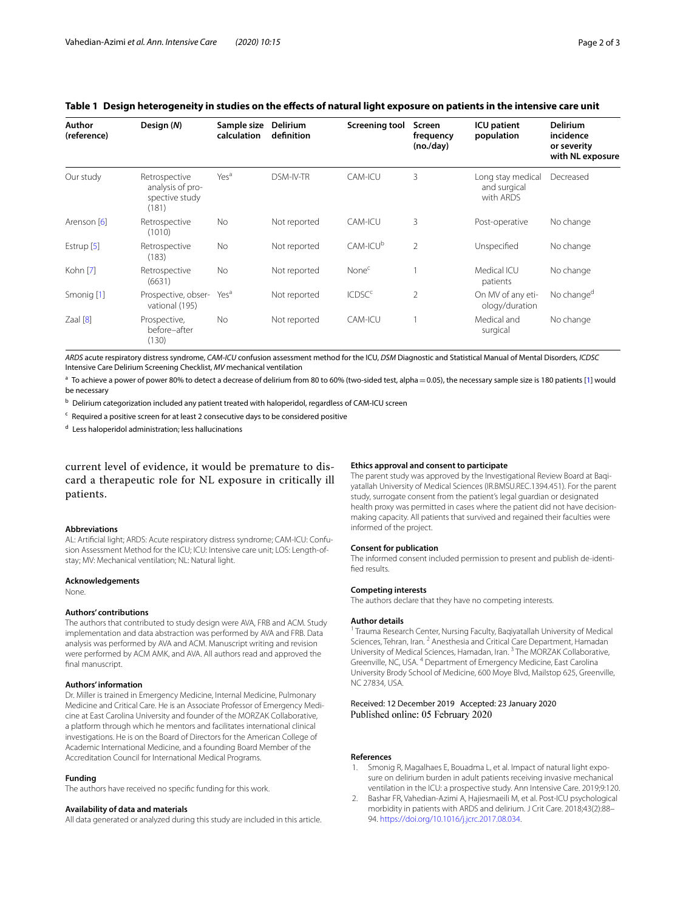## <span id="page-1-2"></span>**Table 1 Design heterogeneity in studies on the efects of natural light exposure on patients in the intensive care unit**

| Author<br>(reference) | Design (N)                                                   | Sample size<br>calculation | Delirium<br>definition | <b>Screening tool</b>    | Screen<br>frequency<br>(no./day) | <b>ICU</b> patient<br>population               | <b>Delirium</b><br>incidence<br>or severity<br>with NL exposure |
|-----------------------|--------------------------------------------------------------|----------------------------|------------------------|--------------------------|----------------------------------|------------------------------------------------|-----------------------------------------------------------------|
| Our study             | Retrospective<br>analysis of pro-<br>spective study<br>(181) | Yes <sup>a</sup>           | DSM-IV-TR              | CAM-ICU                  | 3                                | Long stay medical<br>and surgical<br>with ARDS | Decreased                                                       |
| Arenson [6]           | Retrospective<br>(1010)                                      | <b>No</b>                  | Not reported           | CAM-ICU                  | 3                                | Post-operative                                 | No change                                                       |
| Estrup <sup>[5]</sup> | Retrospective<br>(183)                                       | <b>No</b>                  | Not reported           | CAM-ICU <sup>b</sup>     | $\overline{2}$                   | Unspecified                                    | No change                                                       |
| Kohn [7]              | Retrospective<br>(6631)                                      | <b>No</b>                  | Not reported           | None <sup>c</sup>        |                                  | Medical ICU<br>patients                        | No change                                                       |
| Smonig [1]            | Prospective, obser-<br>vational (195)                        | Yes <sup>a</sup>           | Not reported           | <b>ICDSC<sup>c</sup></b> | $\overline{2}$                   | On MV of any eti-<br>ology/duration            | No change <sup>d</sup>                                          |
| $Z$ aal $[8]$         | Prospective,<br>before-after<br>(130)                        | <b>No</b>                  | Not reported           | CAM-ICU                  |                                  | Medical and<br>surgical                        | No change                                                       |

*ARDS* acute respiratory distress syndrome, *CAM-ICU* confusion assessment method for the ICU, *DSM* Diagnostic and Statistical Manual of Mental Disorders, *ICDSC* Intensive Care Delirium Screening Checklist, *MV* mechanical ventilation

<sup>a</sup> To achieve a power of power 80% to detect a decrease of delirium from 80 to 60% (two-sided test, alpha = 0.05), the necessary sample size is 180 patients [\[1\]](#page-1-0) would be necessary

b Delirium categorization included any patient treated with haloperidol, regardless of CAM-ICU screen

<sup>c</sup> Required a positive screen for at least 2 consecutive days to be considered positive

<sup>d</sup> Less haloperidol administration; less hallucinations

current level of evidence, it would be premature to discard a therapeutic role for NL exposure in critically ill patients.

#### **Abbreviations**

AL: Artificial light; ARDS: Acute respiratory distress syndrome; CAM-ICU: Confusion Assessment Method for the ICU; ICU: Intensive care unit; LOS: Length-ofstay; MV: Mechanical ventilation; NL: Natural light.

#### **Acknowledgements**

None.

#### **Authors' contributions**

The authors that contributed to study design were AVA, FRB and ACM. Study implementation and data abstraction was performed by AVA and FRB. Data analysis was performed by AVA and ACM. Manuscript writing and revision were performed by ACM AMK, and AVA. All authors read and approved the final manuscript.

#### **Authors' information**

Dr. Miller is trained in Emergency Medicine, Internal Medicine, Pulmonary Medicine and Critical Care. He is an Associate Professor of Emergency Medicine at East Carolina University and founder of the MORZAK Collaborative, a platform through which he mentors and facilitates international clinical investigations. He is on the Board of Directors for the American College of Academic International Medicine, and a founding Board Member of the Accreditation Council for International Medical Programs.

#### **Funding**

The authors have received no specifc funding for this work.

#### **Availability of data and materials**

All data generated or analyzed during this study are included in this article.

#### **Ethics approval and consent to participate**

The parent study was approved by the Investigational Review Board at Baqiyatallah University of Medical Sciences (IR.BMSU.REC.1394.451). For the parent study, surrogate consent from the patient's legal guardian or designated health proxy was permitted in cases where the patient did not have decisionmaking capacity. All patients that survived and regained their faculties were informed of the project.

#### **Consent for publication**

The informed consent included permission to present and publish de-identifed results.

#### **Competing interests**

The authors declare that they have no competing interests.

#### **Author details**

<sup>1</sup> Trauma Research Center, Nursing Faculty, Baqiyatallah University of Medical Sciences, Tehran, Iran. <sup>2</sup> Anesthesia and Critical Care Department, Hamadan University of Medical Sciences, Hamadan, Iran. 3 The MORZAK Collaborative, Greenville, NC, USA. 4 Department of Emergency Medicine, East Carolina University Brody School of Medicine, 600 Moye Blvd, Mailstop 625, Greenville, NC 27834, USA.

Received: 12 December 2019 Accepted: 23 January 2020 Published online: 05 February 2020

#### **References**

- <span id="page-1-0"></span>1. Smonig R, Magalhaes E, Bouadma L, et al. Impact of natural light exposure on delirium burden in adult patients receiving invasive mechanical ventilation in the ICU: a prospective study. Ann Intensive Care. 2019;9:120.
- <span id="page-1-1"></span>2. Bashar FR, Vahedian-Azimi A, Hajiesmaeili M, et al. Post-ICU psychological morbidity in patients with ARDS and delirium. J Crit Care. 2018;43(2):88– 94. [https://doi.org/10.1016/j.jcrc.2017.08.034.](https://doi.org/10.1016/j.jcrc.2017.08.034)